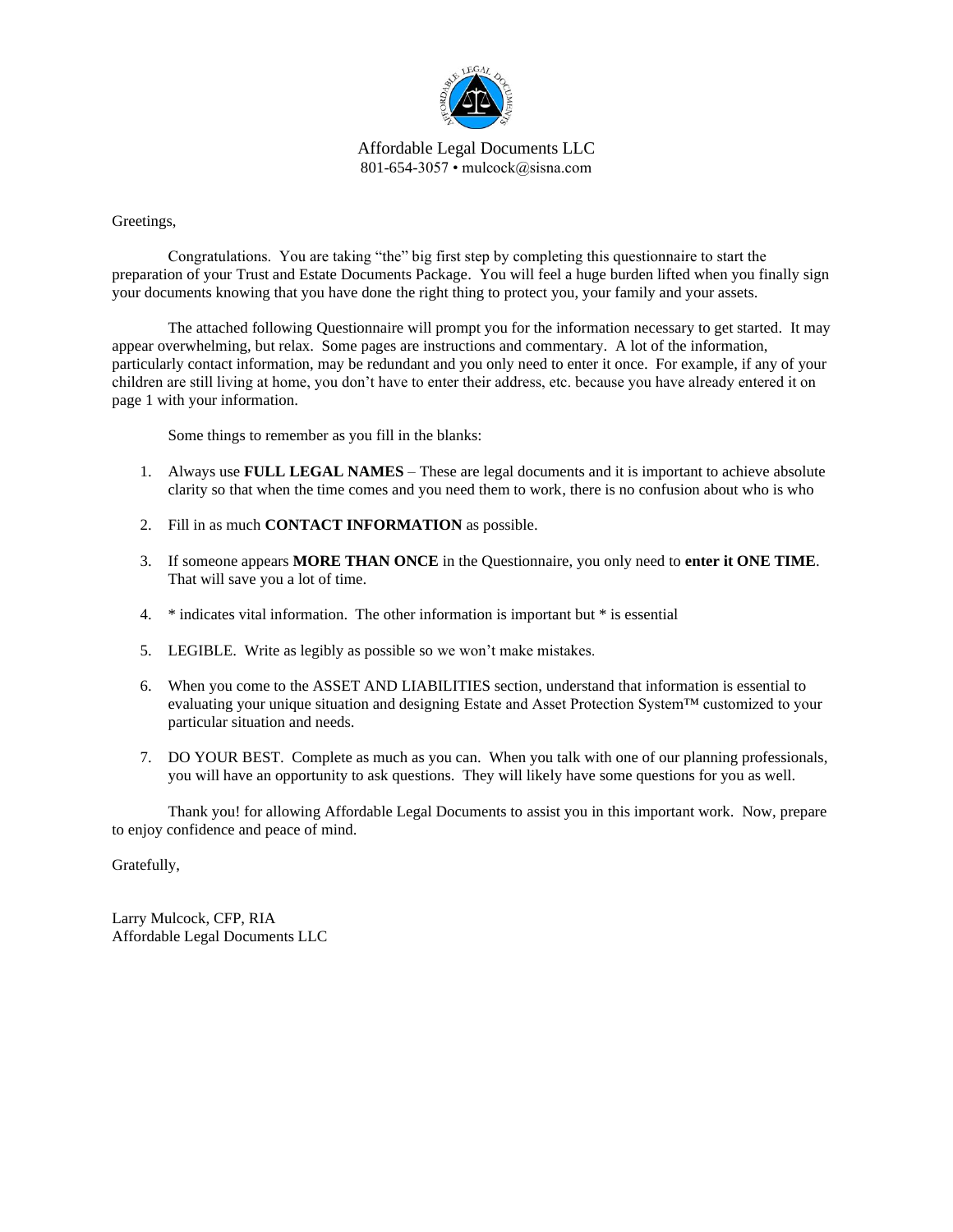

Affordable Legal Documents LLC 801-654-3057 • mulcock@sisna.com

Greetings,

Congratulations. You are taking "the" big first step by completing this questionnaire to start the preparation of your Trust and Estate Documents Package. You will feel a huge burden lifted when you finally sign your documents knowing that you have done the right thing to protect you, your family and your assets.

The attached following Questionnaire will prompt you for the information necessary to get started. It may appear overwhelming, but relax. Some pages are instructions and commentary. A lot of the information, particularly contact information, may be redundant and you only need to enter it once. For example, if any of your children are still living at home, you don't have to enter their address, etc. because you have already entered it on page 1 with your information.

Some things to remember as you fill in the blanks:

- 1. Always use **FULL LEGAL NAMES** These are legal documents and it is important to achieve absolute clarity so that when the time comes and you need them to work, there is no confusion about who is who
- 2. Fill in as much **CONTACT INFORMATION** as possible.
- 3. If someone appears **MORE THAN ONCE** in the Questionnaire, you only need to **enter it ONE TIME**. That will save you a lot of time.
- 4. \* indicates vital information. The other information is important but \* is essential
- 5. LEGIBLE. Write as legibly as possible so we won't make mistakes.
- 6. When you come to the ASSET AND LIABILITIES section, understand that information is essential to evaluating your unique situation and designing Estate and Asset Protection System™ customized to your particular situation and needs.
- 7. DO YOUR BEST. Complete as much as you can. When you talk with one of our planning professionals, you will have an opportunity to ask questions. They will likely have some questions for you as well.

Thank you! for allowing Affordable Legal Documents to assist you in this important work. Now, prepare to enjoy confidence and peace of mind.

Gratefully,

Larry Mulcock, CFP, RIA Affordable Legal Documents LLC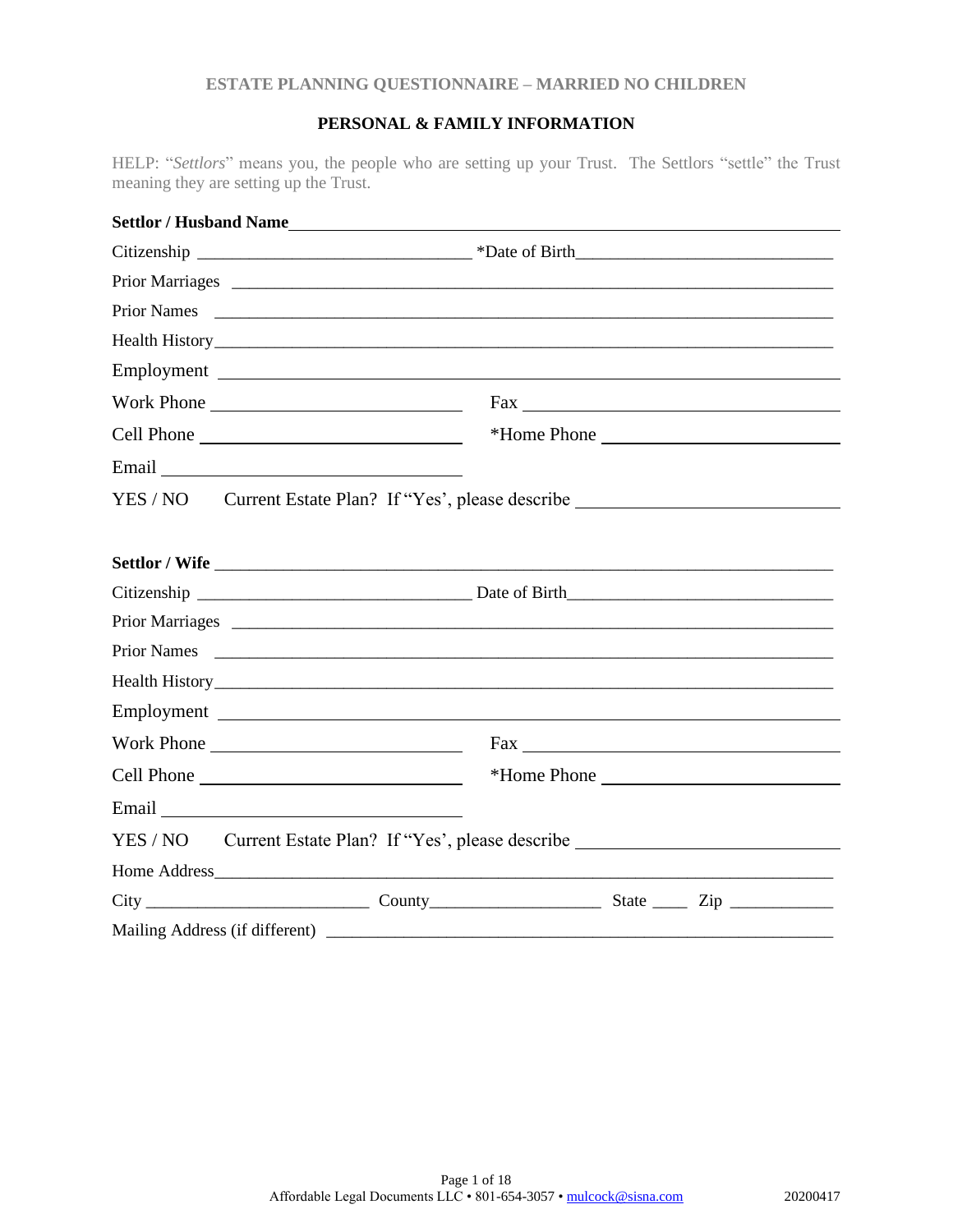# **PERSONAL & FAMILY INFORMATION**

HELP: "*Settlors*" means you, the people who are setting up your Trust. The Settlors "settle" the Trust meaning they are setting up the Trust.

| Work Phone |                                                                                  |  |
|------------|----------------------------------------------------------------------------------|--|
|            | *Home Phone                                                                      |  |
|            |                                                                                  |  |
|            | YES / NO Current Estate Plan? If "Yes', please describe ________________________ |  |
|            |                                                                                  |  |
|            |                                                                                  |  |
|            |                                                                                  |  |
|            |                                                                                  |  |
|            |                                                                                  |  |
|            |                                                                                  |  |
|            |                                                                                  |  |
| Cell Phone | *Home Phone                                                                      |  |
|            |                                                                                  |  |
|            | YES / NO Current Estate Plan? If "Yes', please describe ________________________ |  |
|            |                                                                                  |  |
|            |                                                                                  |  |
|            |                                                                                  |  |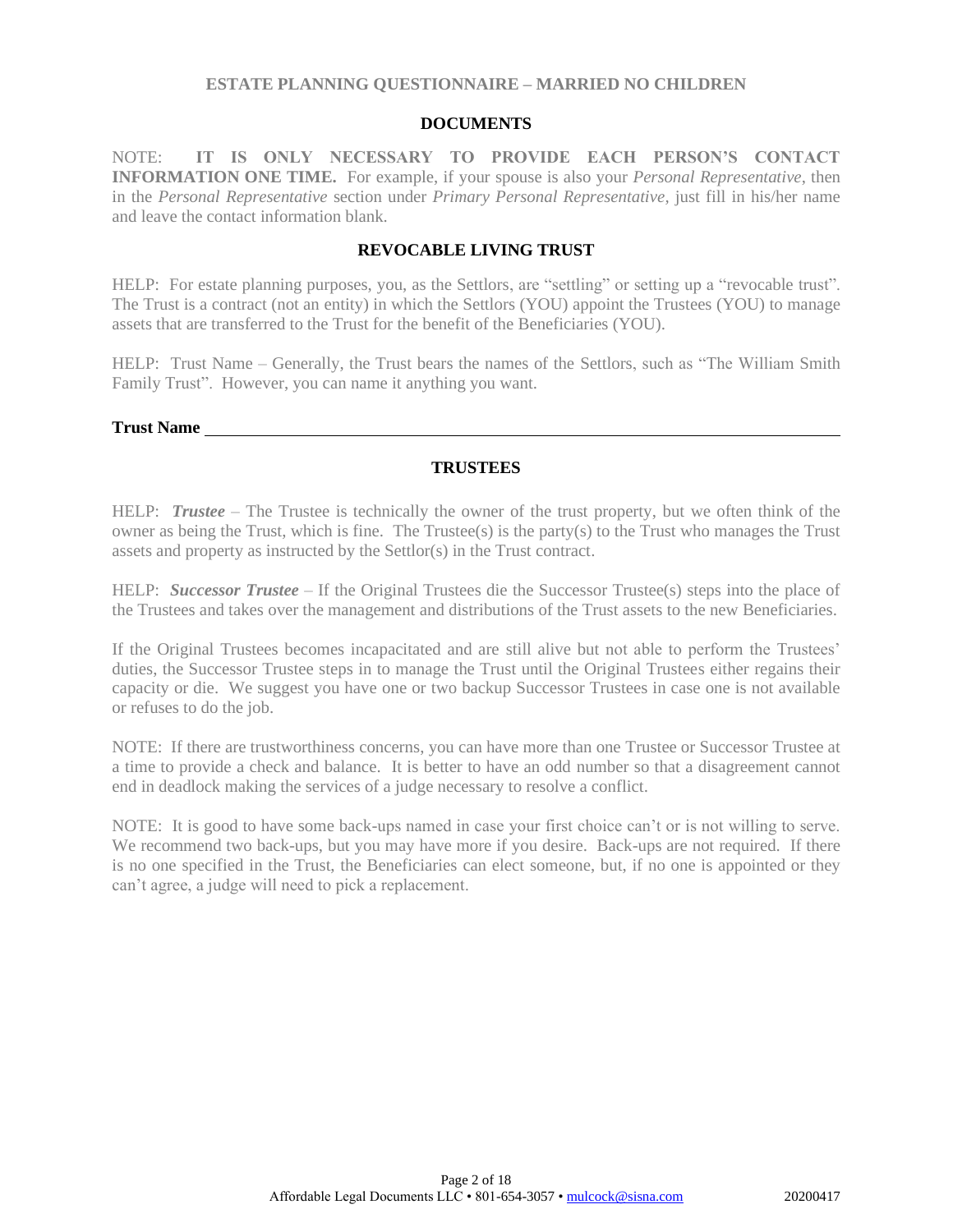#### **DOCUMENTS**

NOTE: **IT IS ONLY NECESSARY TO PROVIDE EACH PERSON'S CONTACT INFORMATION ONE TIME.** For example, if your spouse is also your *Personal Representative*, then in the *Personal Representative* section under *Primary Personal Representative,* just fill in his/her name and leave the contact information blank.

## **REVOCABLE LIVING TRUST**

HELP: For estate planning purposes, you, as the Settlors, are "settling" or setting up a "revocable trust". The Trust is a contract (not an entity) in which the Settlors (YOU) appoint the Trustees (YOU) to manage assets that are transferred to the Trust for the benefit of the Beneficiaries (YOU).

HELP: Trust Name – Generally, the Trust bears the names of the Settlors, such as "The William Smith Family Trust". However, you can name it anything you want.

#### **Trust Name**

## **TRUSTEES**

HELP: *Trustee* – The Trustee is technically the owner of the trust property, but we often think of the owner as being the Trust, which is fine. The Trustee(s) is the party(s) to the Trust who manages the Trust assets and property as instructed by the Settlor(s) in the Trust contract.

HELP: *Successor Trustee* – If the Original Trustees die the Successor Trustee(s) steps into the place of the Trustees and takes over the management and distributions of the Trust assets to the new Beneficiaries.

If the Original Trustees becomes incapacitated and are still alive but not able to perform the Trustees' duties, the Successor Trustee steps in to manage the Trust until the Original Trustees either regains their capacity or die. We suggest you have one or two backup Successor Trustees in case one is not available or refuses to do the job.

NOTE: If there are trustworthiness concerns, you can have more than one Trustee or Successor Trustee at a time to provide a check and balance. It is better to have an odd number so that a disagreement cannot end in deadlock making the services of a judge necessary to resolve a conflict.

NOTE: It is good to have some back-ups named in case your first choice can't or is not willing to serve. We recommend two back-ups, but you may have more if you desire. Back-ups are not required. If there is no one specified in the Trust, the Beneficiaries can elect someone, but, if no one is appointed or they can't agree, a judge will need to pick a replacement.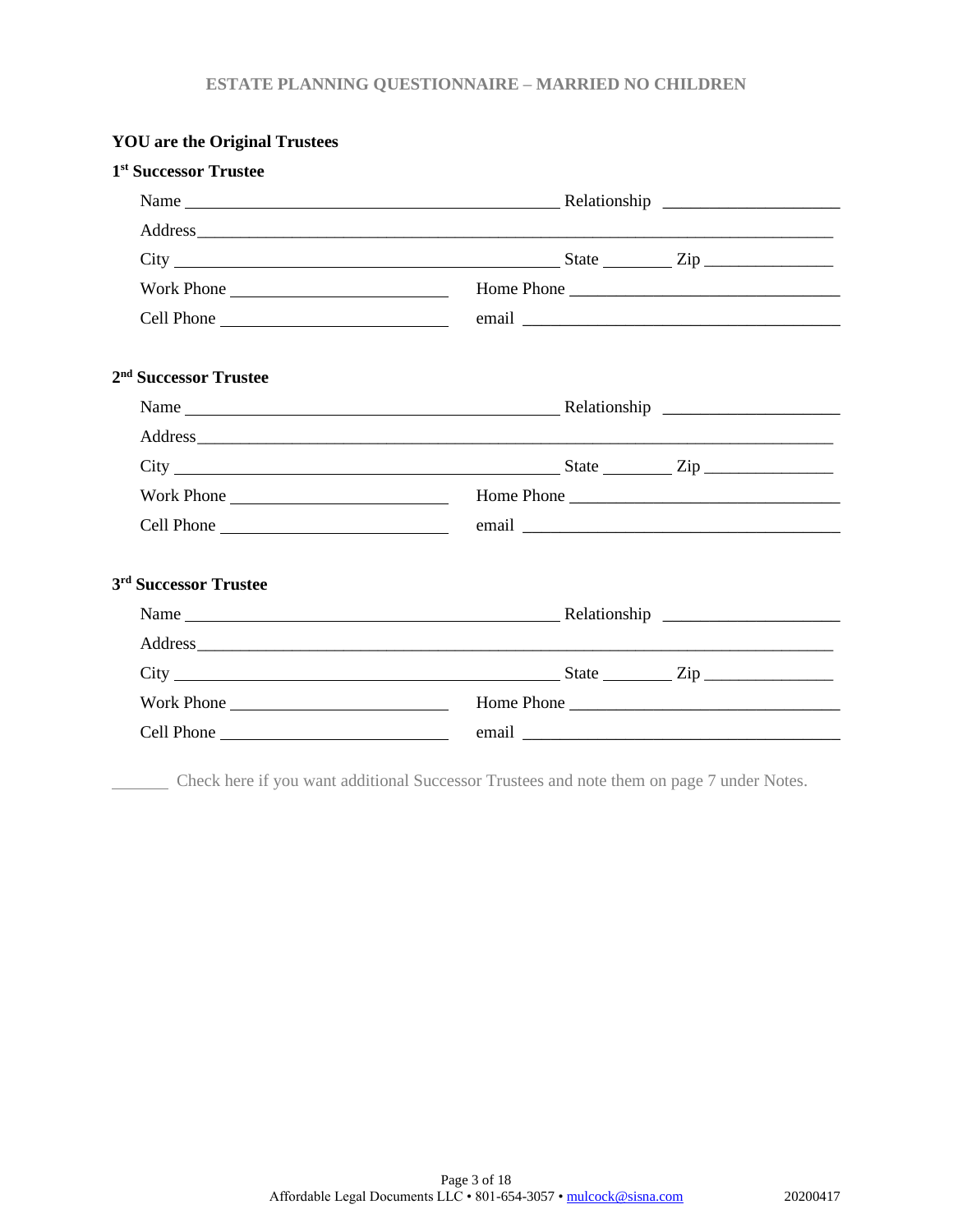| <b>YOU</b> are the Original Trustees                                                                                                               |  |                                                                                                                |  |
|----------------------------------------------------------------------------------------------------------------------------------------------------|--|----------------------------------------------------------------------------------------------------------------|--|
| 1 <sup>st</sup> Successor Trustee                                                                                                                  |  |                                                                                                                |  |
|                                                                                                                                                    |  |                                                                                                                |  |
|                                                                                                                                                    |  |                                                                                                                |  |
|                                                                                                                                                    |  |                                                                                                                |  |
| Work Phone                                                                                                                                         |  | Home Phone                                                                                                     |  |
|                                                                                                                                                    |  |                                                                                                                |  |
| 2 <sup>nd</sup> Successor Trustee                                                                                                                  |  |                                                                                                                |  |
|                                                                                                                                                    |  |                                                                                                                |  |
|                                                                                                                                                    |  |                                                                                                                |  |
| $City$ $\rule{1em}{0.15mm}$ $\rule{1em}{0.15mm}$ $\qquad \qquad \text{State}$ $\rule{1em}{0.15mm}$ $\qquad \qquad \text{Zip}$ $\rule{1em}{0.15mm}$ |  |                                                                                                                |  |
|                                                                                                                                                    |  |                                                                                                                |  |
|                                                                                                                                                    |  | email email and the state of the state of the state of the state of the state of the state of the state of the |  |
| 3 <sup>rd</sup> Successor Trustee                                                                                                                  |  |                                                                                                                |  |
|                                                                                                                                                    |  |                                                                                                                |  |
|                                                                                                                                                    |  |                                                                                                                |  |
| $City$ $City$ $Step$ $Line$                                                                                                                        |  |                                                                                                                |  |
|                                                                                                                                                    |  |                                                                                                                |  |
|                                                                                                                                                    |  |                                                                                                                |  |

Check here if you want additional Successor Trustees and note them on page 7 under Notes.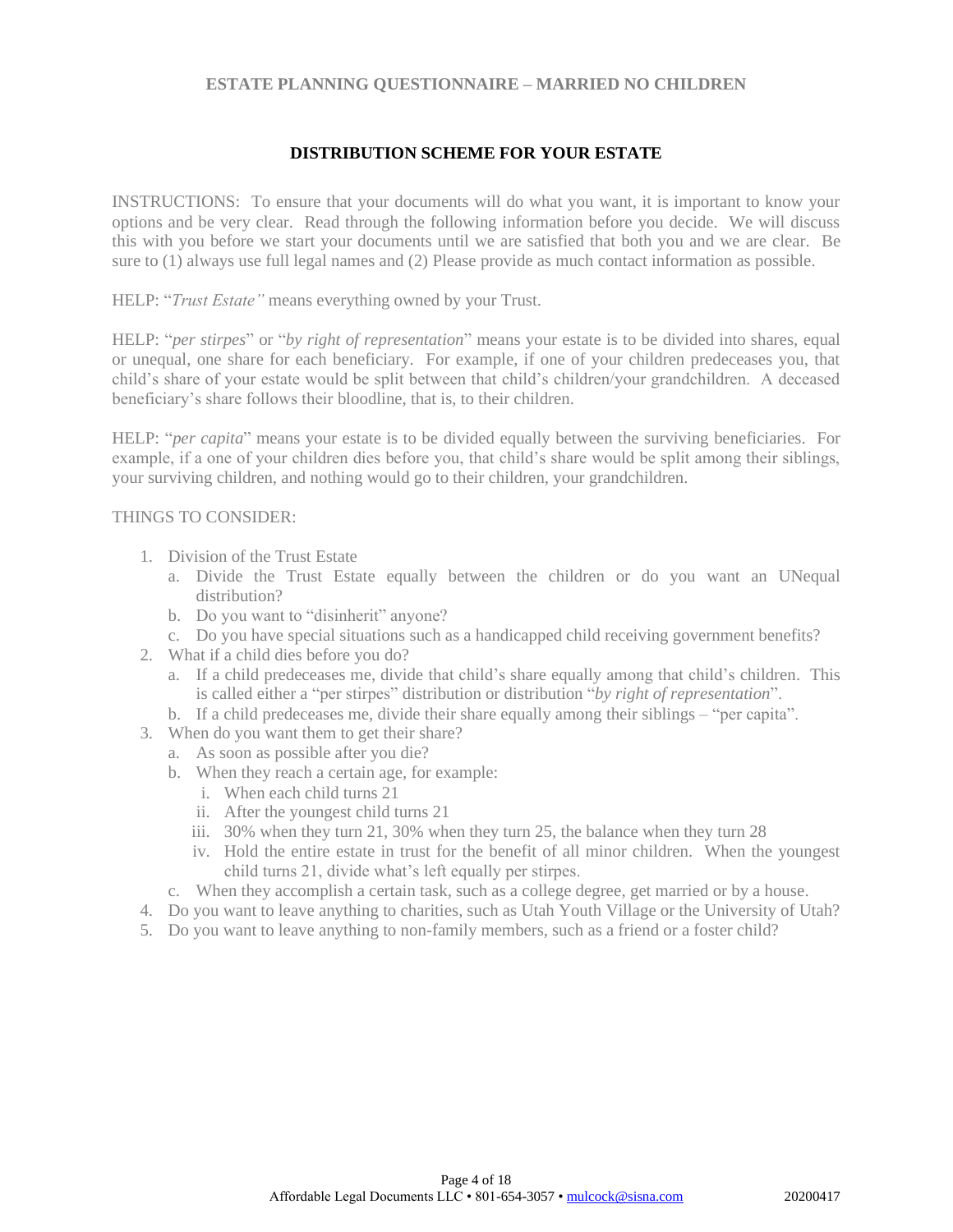## **DISTRIBUTION SCHEME FOR YOUR ESTATE**

INSTRUCTIONS: To ensure that your documents will do what you want, it is important to know your options and be very clear. Read through the following information before you decide. We will discuss this with you before we start your documents until we are satisfied that both you and we are clear. Be sure to (1) always use full legal names and (2) Please provide as much contact information as possible.

HELP: "*Trust Estate"* means everything owned by your Trust.

HELP: "*per stirpes*" or "*by right of representation*" means your estate is to be divided into shares, equal or unequal, one share for each beneficiary. For example, if one of your children predeceases you, that child's share of your estate would be split between that child's children/your grandchildren. A deceased beneficiary's share follows their bloodline, that is, to their children.

HELP: "*per capita*" means your estate is to be divided equally between the surviving beneficiaries. For example, if a one of your children dies before you, that child's share would be split among their siblings, your surviving children, and nothing would go to their children, your grandchildren.

#### THINGS TO CONSIDER:

- 1. Division of the Trust Estate
	- a. Divide the Trust Estate equally between the children or do you want an UNequal distribution?
	- b. Do you want to "disinherit" anyone?
	- c. Do you have special situations such as a handicapped child receiving government benefits?
- 2. What if a child dies before you do?
	- a. If a child predeceases me, divide that child's share equally among that child's children. This is called either a "per stirpes" distribution or distribution "*by right of representation*".
- b. If a child predeceases me, divide their share equally among their siblings "per capita".
- 3. When do you want them to get their share?
	- a. As soon as possible after you die?
	- b. When they reach a certain age, for example:
		- i. When each child turns 21
		- ii. After the youngest child turns 21
		- iii. 30% when they turn 21, 30% when they turn 25, the balance when they turn 28
		- iv. Hold the entire estate in trust for the benefit of all minor children. When the youngest child turns 21, divide what's left equally per stirpes.
	- c. When they accomplish a certain task, such as a college degree, get married or by a house.
- 4. Do you want to leave anything to charities, such as Utah Youth Village or the University of Utah?
- 5. Do you want to leave anything to non-family members, such as a friend or a foster child?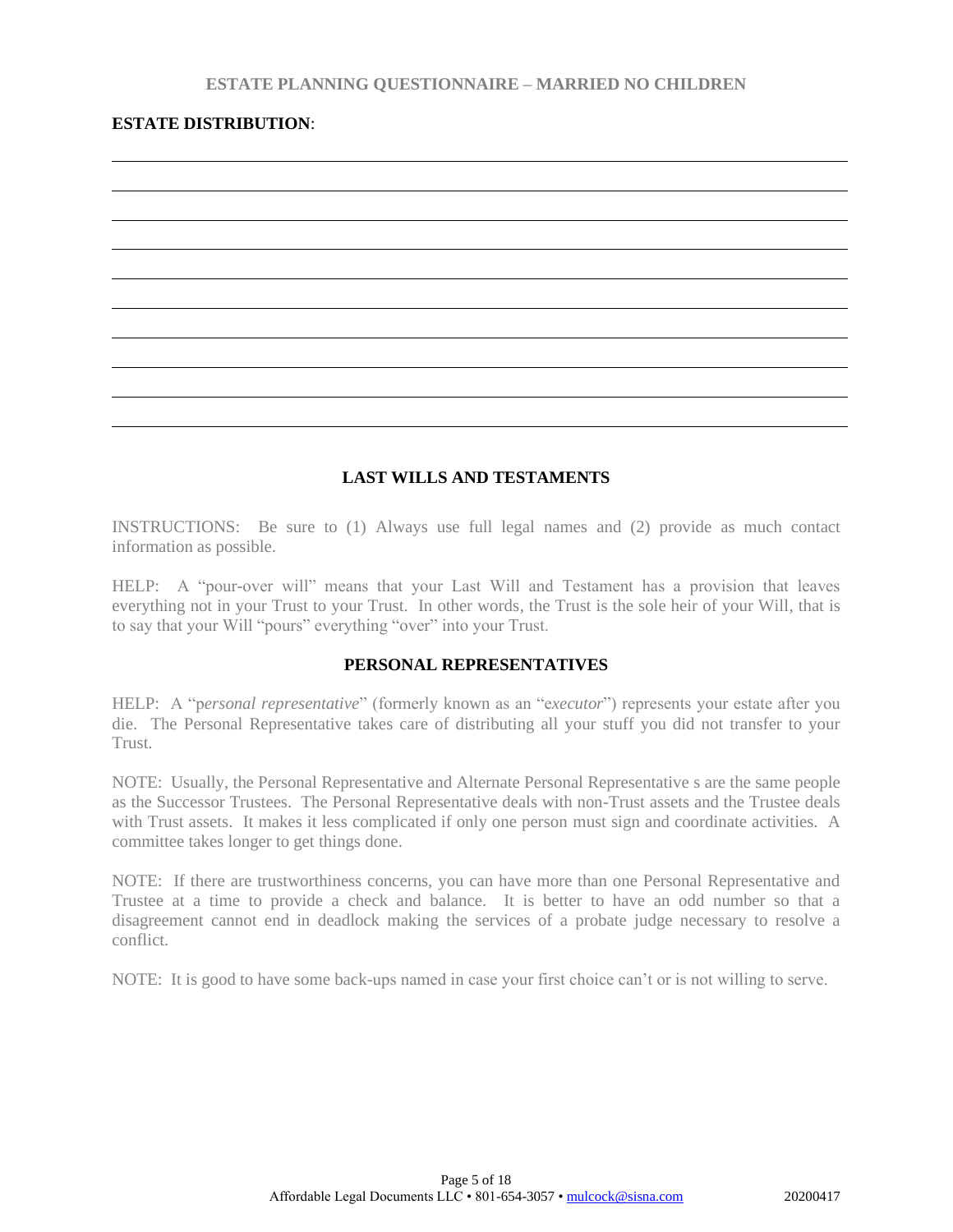## **ESTATE DISTRIBUTION**:



## **LAST WILLS AND TESTAMENTS**

INSTRUCTIONS: Be sure to (1) Always use full legal names and (2) provide as much contact information as possible.

HELP: A "pour-over will" means that your Last Will and Testament has a provision that leaves everything not in your Trust to your Trust. In other words, the Trust is the sole heir of your Will, that is to say that your Will "pours" everything "over" into your Trust.

## **PERSONAL REPRESENTATIVES**

HELP: A "p*ersonal representative*" (formerly known as an "e*xecutor*") represents your estate after you die. The Personal Representative takes care of distributing all your stuff you did not transfer to your Trust.

NOTE: Usually, the Personal Representative and Alternate Personal Representative s are the same people as the Successor Trustees. The Personal Representative deals with non-Trust assets and the Trustee deals with Trust assets. It makes it less complicated if only one person must sign and coordinate activities. A committee takes longer to get things done.

NOTE: If there are trustworthiness concerns, you can have more than one Personal Representative and Trustee at a time to provide a check and balance. It is better to have an odd number so that a disagreement cannot end in deadlock making the services of a probate judge necessary to resolve a conflict.

NOTE: It is good to have some back-ups named in case your first choice can't or is not willing to serve.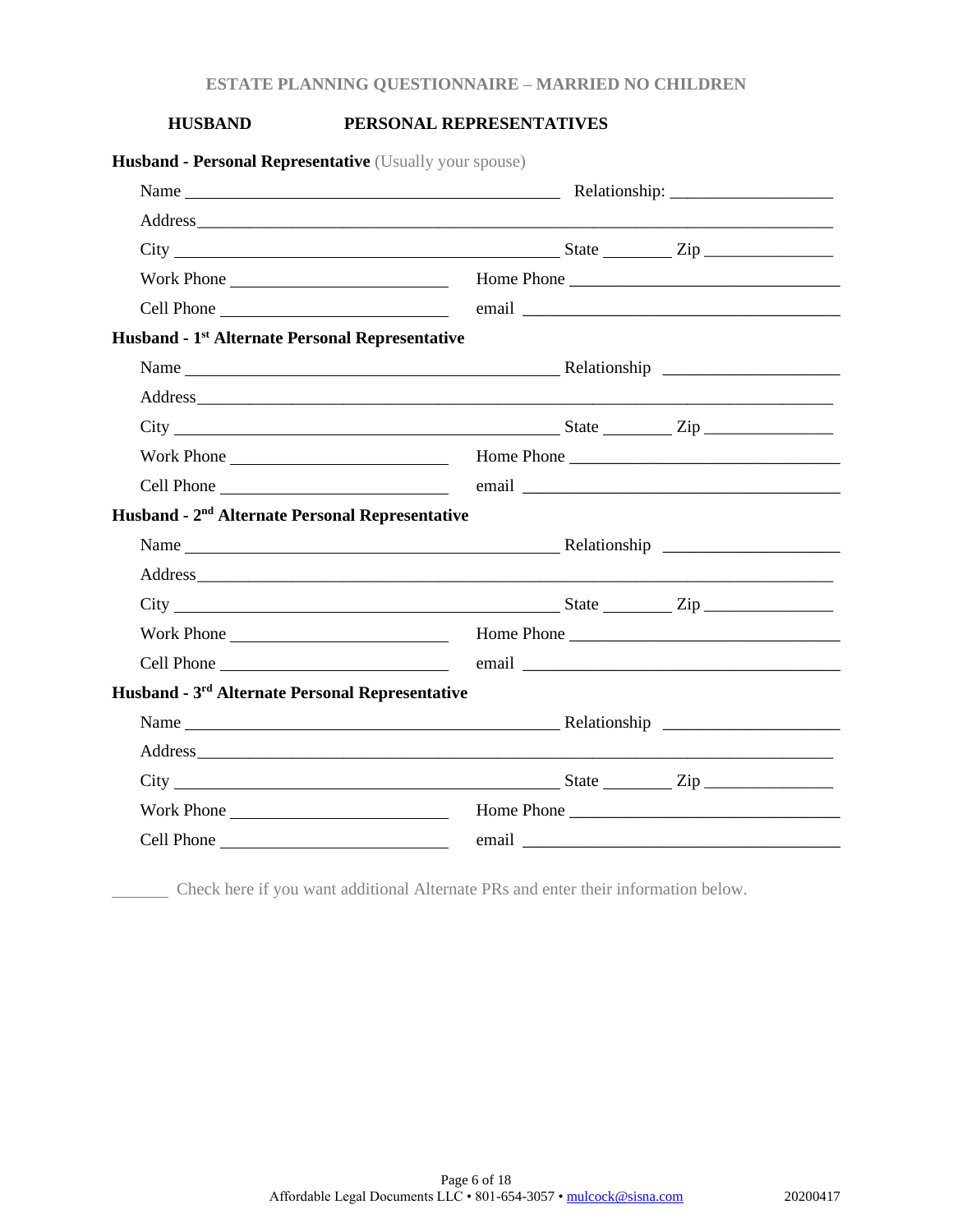## **HUSBAND PERSONAL REPRESENTATIVES**

| Husband - Personal Representative (Usually your spouse)                                                                                                                                                                        |  |  |
|--------------------------------------------------------------------------------------------------------------------------------------------------------------------------------------------------------------------------------|--|--|
| Name                                                                                                                                                                                                                           |  |  |
|                                                                                                                                                                                                                                |  |  |
|                                                                                                                                                                                                                                |  |  |
|                                                                                                                                                                                                                                |  |  |
| Cell Phone email email email experience and the contract of the contract of the contract of the contract of the contract of the contract of the contract of the contract of the contract of the contract of the contract of th |  |  |
| Husband - 1 <sup>st</sup> Alternate Personal Representative                                                                                                                                                                    |  |  |
|                                                                                                                                                                                                                                |  |  |
|                                                                                                                                                                                                                                |  |  |
| $City$ $City$ $Step$ $Line$                                                                                                                                                                                                    |  |  |
|                                                                                                                                                                                                                                |  |  |
|                                                                                                                                                                                                                                |  |  |
| Husband - 2 <sup>nd</sup> Alternate Personal Representative                                                                                                                                                                    |  |  |
|                                                                                                                                                                                                                                |  |  |
|                                                                                                                                                                                                                                |  |  |
| $City$ $2ip$ $2ip$                                                                                                                                                                                                             |  |  |
|                                                                                                                                                                                                                                |  |  |
|                                                                                                                                                                                                                                |  |  |
| Husband - 3 <sup>rd</sup> Alternate Personal Representative                                                                                                                                                                    |  |  |
|                                                                                                                                                                                                                                |  |  |
|                                                                                                                                                                                                                                |  |  |
| City State Zip                                                                                                                                                                                                                 |  |  |
|                                                                                                                                                                                                                                |  |  |
|                                                                                                                                                                                                                                |  |  |

Check here if you want additional Alternate PRs and enter their information below.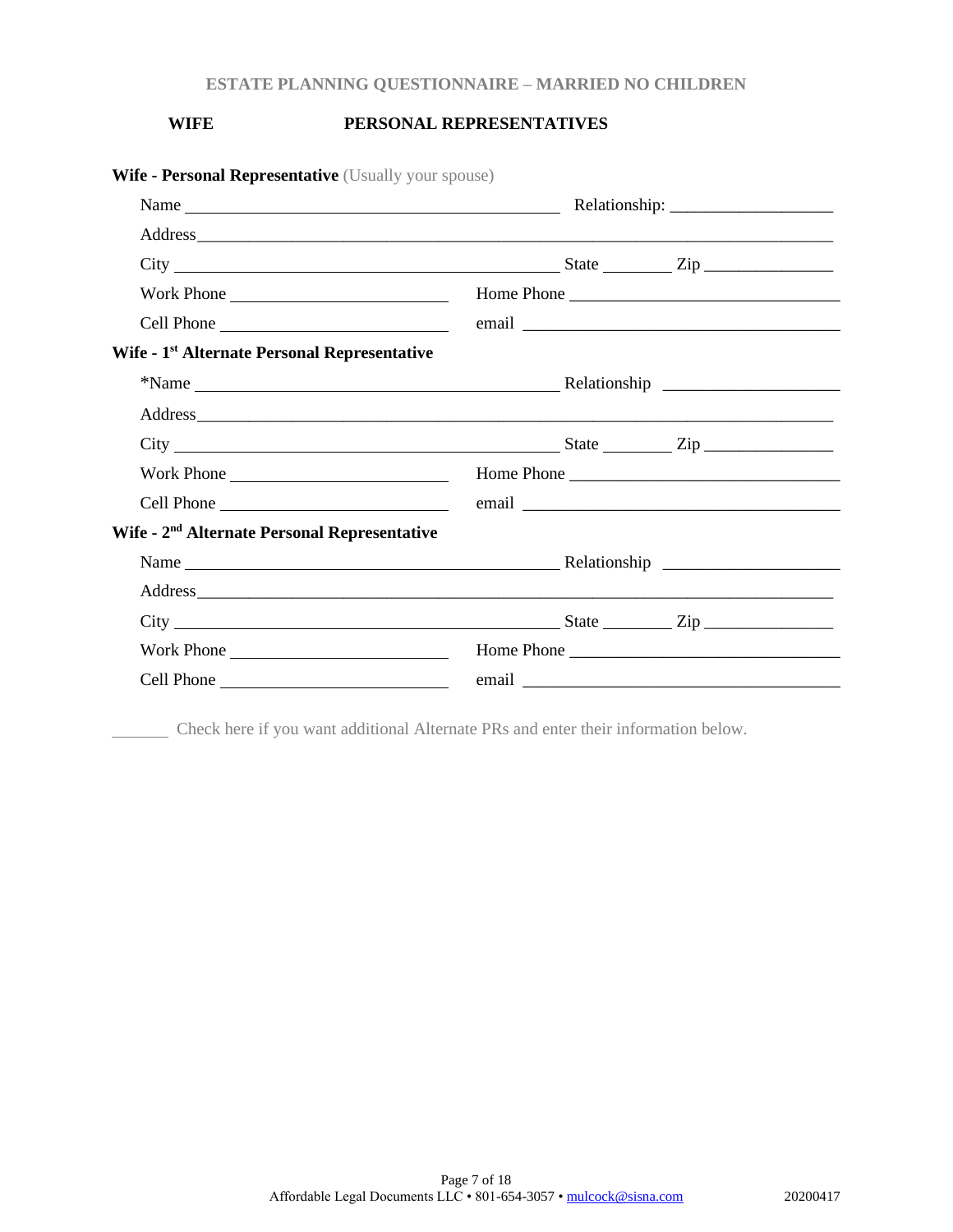## **WIFE PERSONAL REPRESENTATIVES**

| <b>Wife - Personal Representative</b> (Usually your spouse)                                                                                                |  |  |
|------------------------------------------------------------------------------------------------------------------------------------------------------------|--|--|
|                                                                                                                                                            |  |  |
|                                                                                                                                                            |  |  |
| $City$ $City$ $Step$ $Line$                                                                                                                                |  |  |
| Work Phone                                                                                                                                                 |  |  |
|                                                                                                                                                            |  |  |
| Wife - 1 <sup>st</sup> Alternate Personal Representative                                                                                                   |  |  |
|                                                                                                                                                            |  |  |
|                                                                                                                                                            |  |  |
| $City$ $\rule{1em}{0.15mm}$ $\qquad \qquad \text{State}$ $\rule{1em}{0.15mm}$ $\qquad \qquad \text{State}$ $\rule{1em}{0.15mm}$ $\qquad \qquad \text{Zip}$ |  |  |
|                                                                                                                                                            |  |  |
|                                                                                                                                                            |  |  |
| Wife - 2 <sup>nd</sup> Alternate Personal Representative                                                                                                   |  |  |
|                                                                                                                                                            |  |  |
|                                                                                                                                                            |  |  |
| $City$ $City$ $Step$ $Line$                                                                                                                                |  |  |
| Work Phone                                                                                                                                                 |  |  |
|                                                                                                                                                            |  |  |

Check here if you want additional Alternate PRs and enter their information below.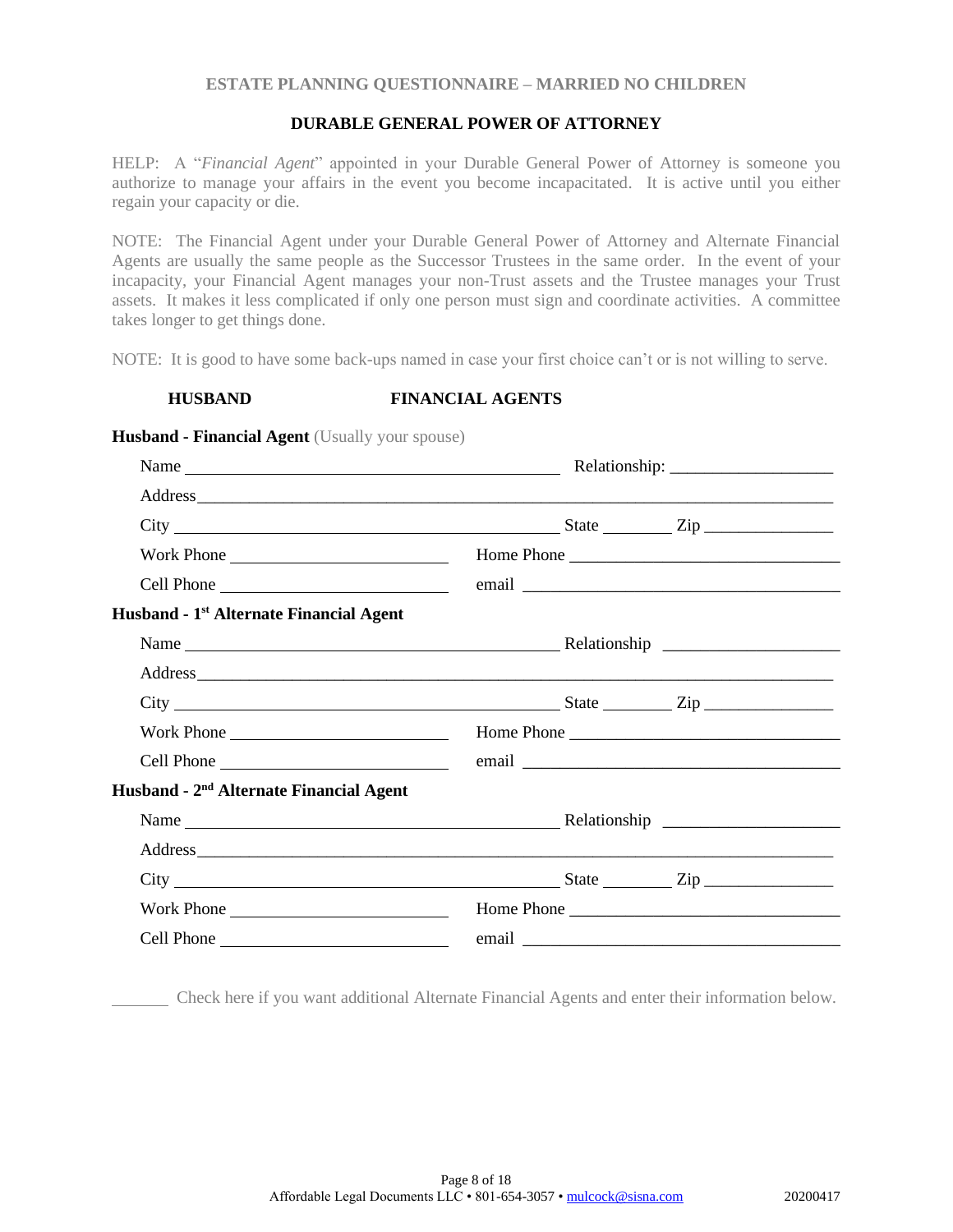## **DURABLE GENERAL POWER OF ATTORNEY**

HELP: A "*Financial Agent*" appointed in your Durable General Power of Attorney is someone you authorize to manage your affairs in the event you become incapacitated. It is active until you either regain your capacity or die.

NOTE: The Financial Agent under your Durable General Power of Attorney and Alternate Financial Agents are usually the same people as the Successor Trustees in the same order. In the event of your incapacity, your Financial Agent manages your non-Trust assets and the Trustee manages your Trust assets. It makes it less complicated if only one person must sign and coordinate activities. A committee takes longer to get things done.

NOTE: It is good to have some back-ups named in case your first choice can't or is not willing to serve.

**HUSBAND FINANCIAL AGENTS**

|                                                     |  | Home Phone |  |
|-----------------------------------------------------|--|------------|--|
|                                                     |  |            |  |
| Husband - 1 <sup>st</sup> Alternate Financial Agent |  |            |  |
|                                                     |  |            |  |
|                                                     |  |            |  |
|                                                     |  |            |  |
| Work Phone                                          |  |            |  |
|                                                     |  |            |  |
| Husband - 2 <sup>nd</sup> Alternate Financial Agent |  |            |  |
|                                                     |  |            |  |
|                                                     |  |            |  |
| $City$ $City$ $Step$ $Line$                         |  |            |  |
|                                                     |  |            |  |
| Cell Phone League and Cell Phone                    |  |            |  |

**Husband - Financial Agent** (Usually your spouse)

Check here if you want additional Alternate Financial Agents and enter their information below.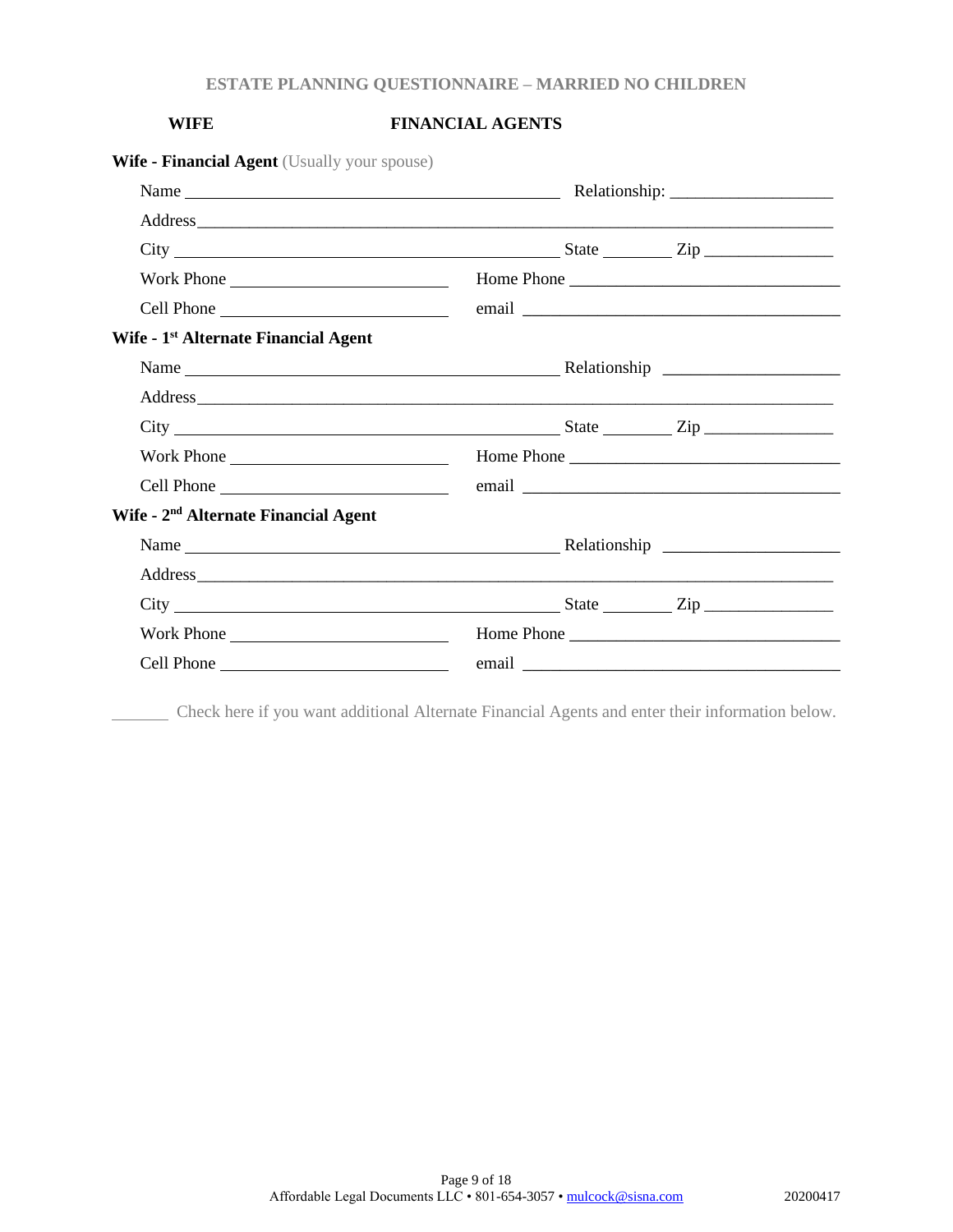# **WIFE FINANCIAL AGENTS**

| <b>Wife - Financial Agent</b> (Usually your spouse)                                                                                                                                                                                                                                                                                            |  |            |
|------------------------------------------------------------------------------------------------------------------------------------------------------------------------------------------------------------------------------------------------------------------------------------------------------------------------------------------------|--|------------|
| Name $\frac{1}{\sqrt{1-\frac{1}{2}}\left(\frac{1}{2}-\frac{1}{2}\right)}$                                                                                                                                                                                                                                                                      |  |            |
|                                                                                                                                                                                                                                                                                                                                                |  |            |
| $City$ $\rule{0.1cm}{0.1cm}$ $\rule{0.1cm}{0.1cm}$ $\qquad \qquad \text{State}$ $\rule{0.1cm}{0.1cm}$ $\qquad \qquad \text{City}$ $\rule{0.1cm}{0.1cm}$ $\rule{0.1cm}{0.1cm}$ $\rule{0.1cm}{0.1cm}$ $\rule{0.1cm}{0.1cm}$ $\qquad \qquad \text{State}$ $\rule{0.1cm}{0.1cm}$ $\rule{0.1cm}{0.1cm}$ $\rule{0.1cm}{0.1cm}$ $\rule{0.1cm}{0.1cm}$ |  |            |
| Work Phone                                                                                                                                                                                                                                                                                                                                     |  | Home Phone |
|                                                                                                                                                                                                                                                                                                                                                |  |            |
| Wife - 1 <sup>st</sup> Alternate Financial Agent                                                                                                                                                                                                                                                                                               |  |            |
|                                                                                                                                                                                                                                                                                                                                                |  |            |
|                                                                                                                                                                                                                                                                                                                                                |  |            |
| $\text{City}$ $\frac{1}{\text{City}}$                                                                                                                                                                                                                                                                                                          |  |            |
|                                                                                                                                                                                                                                                                                                                                                |  | Home Phone |
|                                                                                                                                                                                                                                                                                                                                                |  |            |
| Wife - 2 <sup>nd</sup> Alternate Financial Agent                                                                                                                                                                                                                                                                                               |  |            |
|                                                                                                                                                                                                                                                                                                                                                |  |            |
|                                                                                                                                                                                                                                                                                                                                                |  |            |
| $City$ $City$ $Zip$                                                                                                                                                                                                                                                                                                                            |  |            |
| Work Phone                                                                                                                                                                                                                                                                                                                                     |  | Home Phone |
| Cell Phone                                                                                                                                                                                                                                                                                                                                     |  |            |

Check here if you want additional Alternate Financial Agents and enter their information below.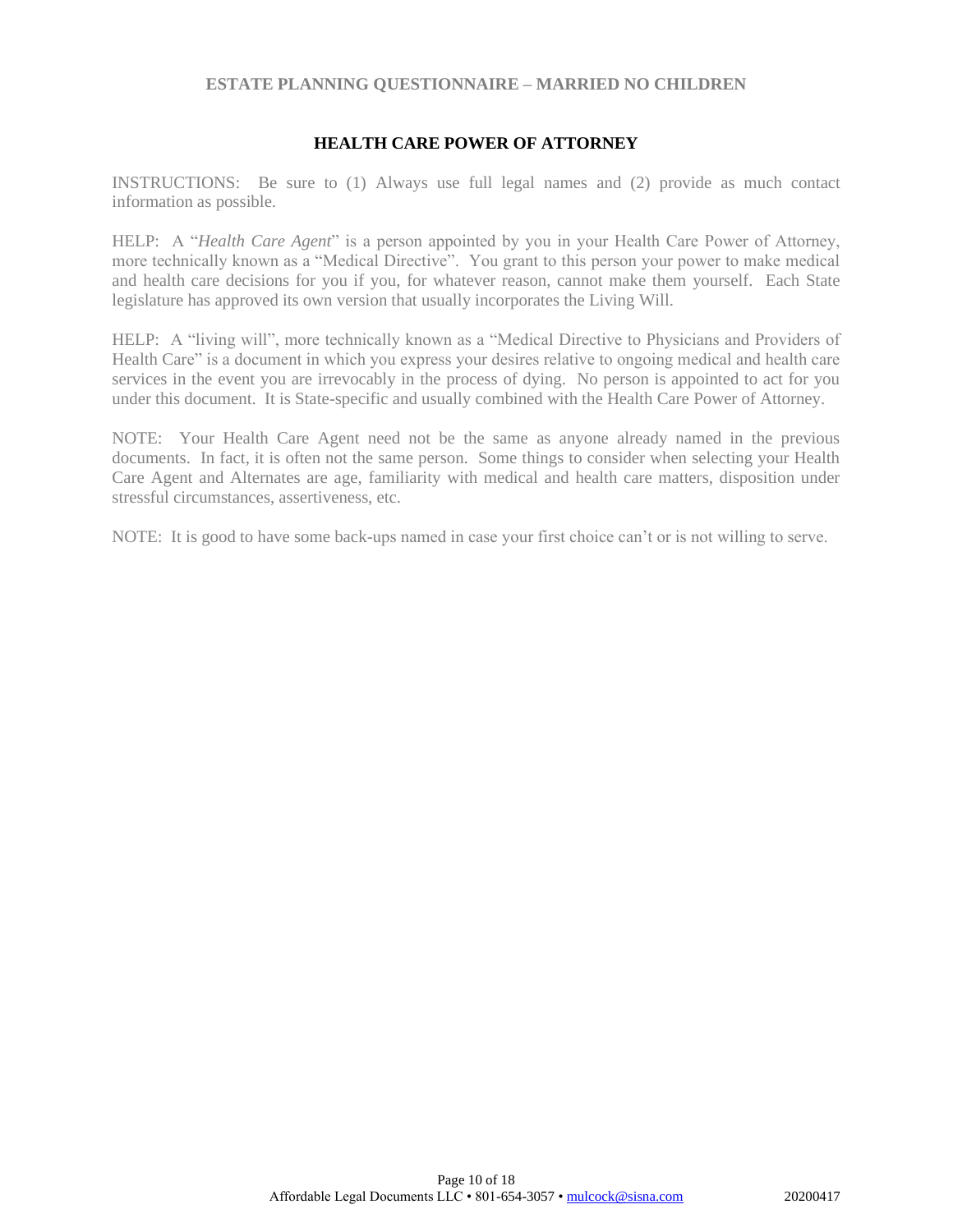## **HEALTH CARE POWER OF ATTORNEY**

INSTRUCTIONS: Be sure to (1) Always use full legal names and (2) provide as much contact information as possible.

HELP: A "*Health Care Agent*" is a person appointed by you in your Health Care Power of Attorney, more technically known as a "Medical Directive". You grant to this person your power to make medical and health care decisions for you if you, for whatever reason, cannot make them yourself. Each State legislature has approved its own version that usually incorporates the Living Will.

HELP: A "living will", more technically known as a "Medical Directive to Physicians and Providers of Health Care" is a document in which you express your desires relative to ongoing medical and health care services in the event you are irrevocably in the process of dying. No person is appointed to act for you under this document. It is State-specific and usually combined with the Health Care Power of Attorney.

NOTE: Your Health Care Agent need not be the same as anyone already named in the previous documents. In fact, it is often not the same person. Some things to consider when selecting your Health Care Agent and Alternates are age, familiarity with medical and health care matters, disposition under stressful circumstances, assertiveness, etc.

NOTE: It is good to have some back-ups named in case your first choice can't or is not willing to serve.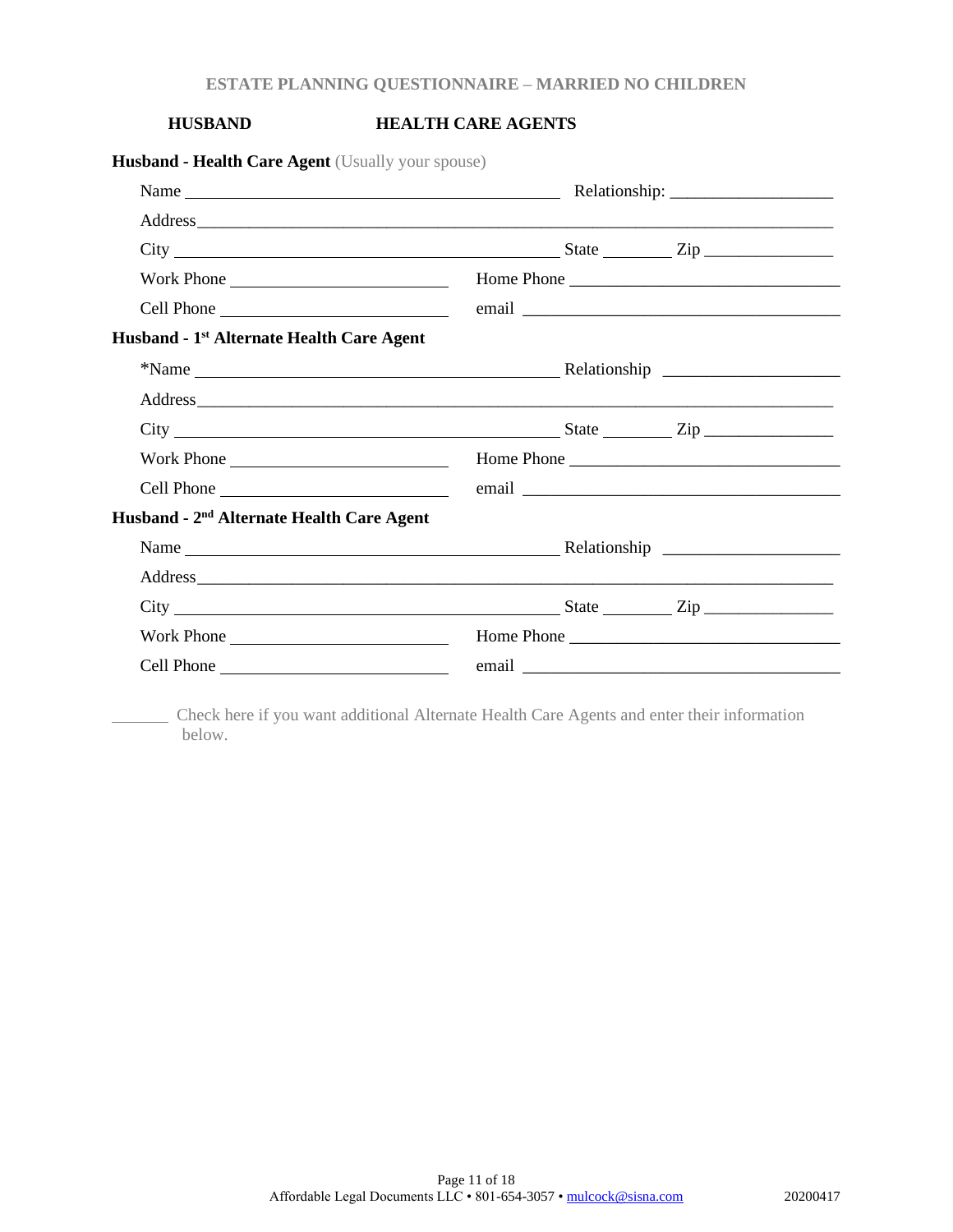## **HUSBAND HEALTH CARE AGENTS**

| <b>Husband - Health Care Agent</b> (Usually your spouse) |  |            |
|----------------------------------------------------------|--|------------|
|                                                          |  |            |
|                                                          |  |            |
|                                                          |  |            |
|                                                          |  |            |
| Husband - 1 <sup>st</sup> Alternate Health Care Agent    |  |            |
|                                                          |  |            |
|                                                          |  |            |
|                                                          |  |            |
| Work Phone                                               |  | Home Phone |
|                                                          |  |            |
| Husband - 2 <sup>nd</sup> Alternate Health Care Agent    |  |            |
|                                                          |  |            |
|                                                          |  |            |
| $City$ $City$ $Step$ $Type$                              |  |            |
|                                                          |  |            |
|                                                          |  |            |

 Check here if you want additional Alternate Health Care Agents and enter their information below.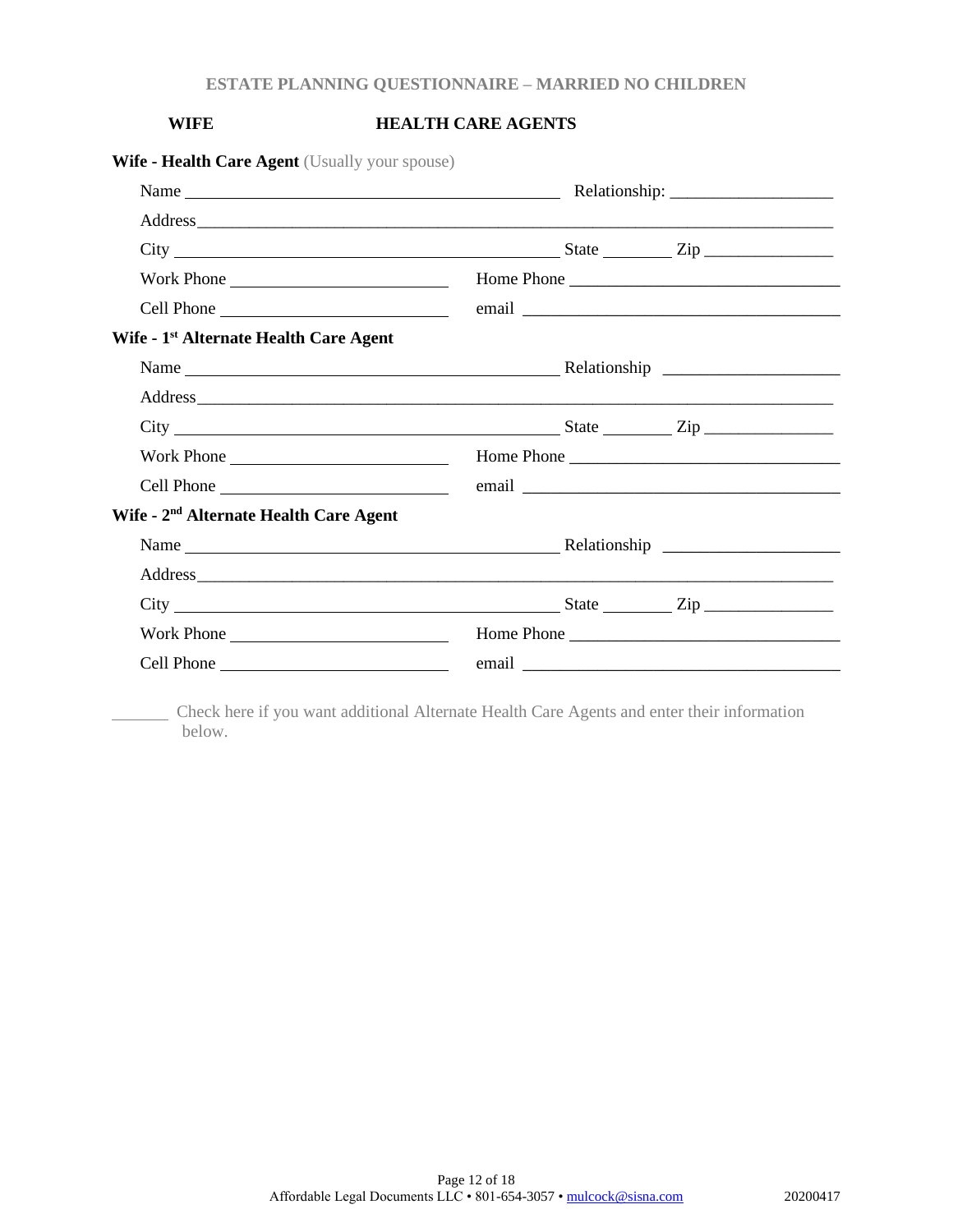# **WIFE HEALTH CARE AGENTS**

| Work Phone                                                                                                                                         |  |            |
|----------------------------------------------------------------------------------------------------------------------------------------------------|--|------------|
|                                                                                                                                                    |  |            |
| Wife - 1 <sup>st</sup> Alternate Health Care Agent                                                                                                 |  |            |
|                                                                                                                                                    |  |            |
|                                                                                                                                                    |  |            |
| $City$ $City$ $Step$ $Type$                                                                                                                        |  |            |
| Work Phone                                                                                                                                         |  | Home Phone |
|                                                                                                                                                    |  |            |
| Wife - 2 <sup>nd</sup> Alternate Health Care Agent                                                                                                 |  |            |
|                                                                                                                                                    |  |            |
|                                                                                                                                                    |  |            |
| $City$ $\rule{1em}{0.15mm}$ $\rule{1em}{0.15mm}$ $\qquad \qquad \text{State}$ $\rule{1em}{0.15mm}$ $\qquad \qquad \text{Zip}$ $\rule{1em}{0.15mm}$ |  |            |
|                                                                                                                                                    |  |            |
| Cell Phone                                                                                                                                         |  |            |

 Check here if you want additional Alternate Health Care Agents and enter their information below.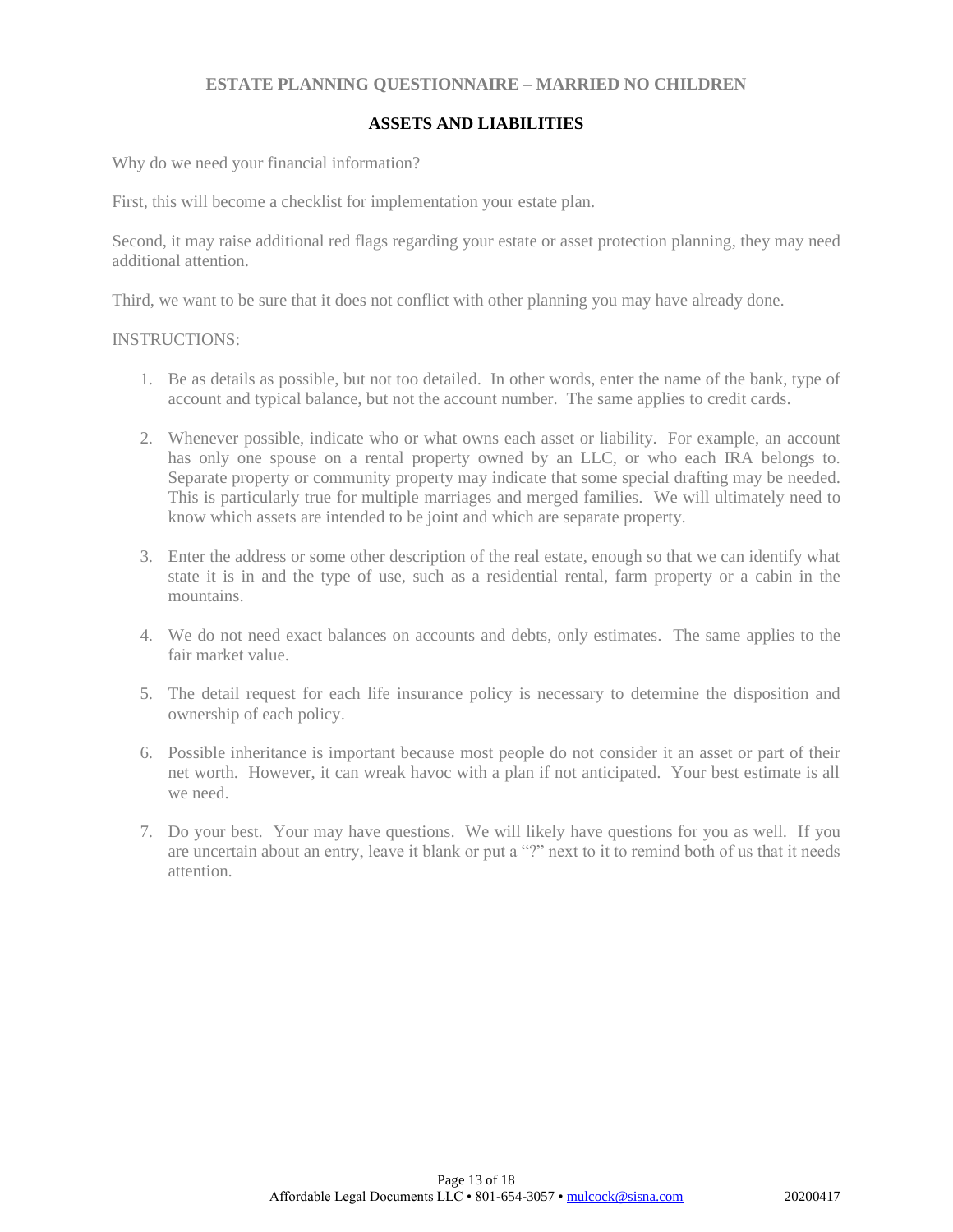## **ASSETS AND LIABILITIES**

Why do we need your financial information?

First, this will become a checklist for implementation your estate plan.

Second, it may raise additional red flags regarding your estate or asset protection planning, they may need additional attention.

Third, we want to be sure that it does not conflict with other planning you may have already done.

#### INSTRUCTIONS:

- 1. Be as details as possible, but not too detailed. In other words, enter the name of the bank, type of account and typical balance, but not the account number. The same applies to credit cards.
- 2. Whenever possible, indicate who or what owns each asset or liability. For example, an account has only one spouse on a rental property owned by an LLC, or who each IRA belongs to. Separate property or community property may indicate that some special drafting may be needed. This is particularly true for multiple marriages and merged families. We will ultimately need to know which assets are intended to be joint and which are separate property.
- 3. Enter the address or some other description of the real estate, enough so that we can identify what state it is in and the type of use, such as a residential rental, farm property or a cabin in the mountains.
- 4. We do not need exact balances on accounts and debts, only estimates. The same applies to the fair market value.
- 5. The detail request for each life insurance policy is necessary to determine the disposition and ownership of each policy.
- 6. Possible inheritance is important because most people do not consider it an asset or part of their net worth. However, it can wreak havoc with a plan if not anticipated. Your best estimate is all we need.
- 7. Do your best. Your may have questions. We will likely have questions for you as well. If you are uncertain about an entry, leave it blank or put a "?" next to it to remind both of us that it needs attention.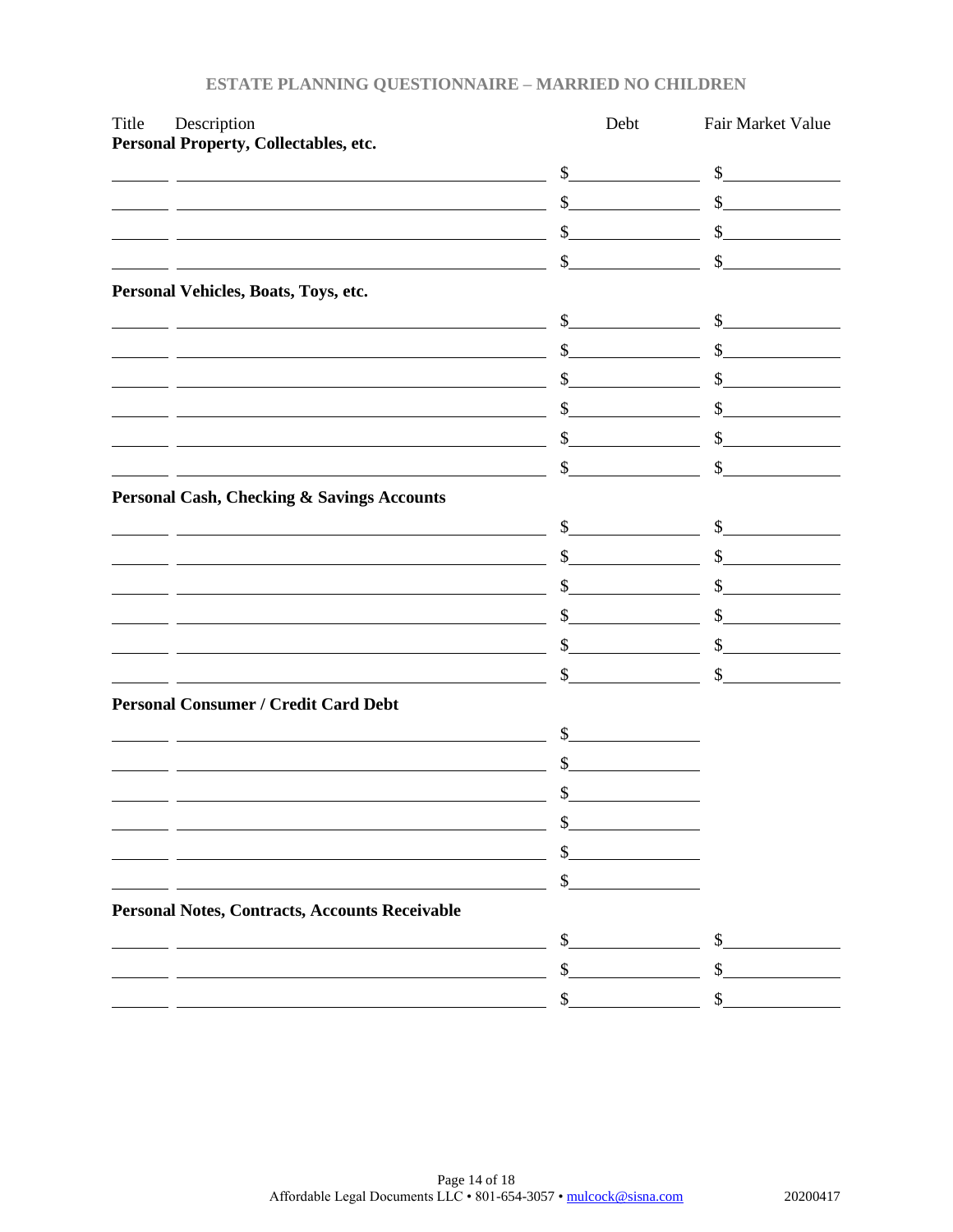| Title | Description                                                                                                            | Debt           | Fair Market Value |
|-------|------------------------------------------------------------------------------------------------------------------------|----------------|-------------------|
|       | Personal Property, Collectables, etc.                                                                                  |                |                   |
|       |                                                                                                                        | \$             | \$                |
|       |                                                                                                                        | \$             | \$                |
|       |                                                                                                                        | \$             | \$                |
|       | <u> 1988 - Andrea Barbara, amerikana amerikana amerikana amerikana amerikana amerikana amerikana amerikana amerika</u> | \$             | \$                |
|       | Personal Vehicles, Boats, Toys, etc.                                                                                   |                |                   |
|       | <u> 1989 - Johann Barn, mars ann an t-Amhain Aonaich an t-Aonaich an t-Aonaich ann an t-Aonaich ann an t-Aonaich</u>   | $\mathbb{S}$   | $\mathbb{S}^-$    |
|       | <u> 1989 - Johann Barn, mars ann an t-Amhain Aonaich an t-Aonaich an t-Aonaich ann an t-Aonaich ann an t-Aonaich</u>   | \$             | $\sim$            |
|       | <u> 1980 - Johann Barbara, martxa alemaniar arg</u>                                                                    | \$             | \$                |
|       |                                                                                                                        | \$             | \$                |
|       | <u> 1980 - Johann Barn, mars ann an t-Amhain Aonaichte ann an t-Aonaichte ann an t-Aonaichte ann an t-Aonaichte a</u>  | \$             | \$                |
|       | <u> 1989 - Andrea Barbara, amerikan personal (h. 1989).</u>                                                            | \$             |                   |
|       | <b>Personal Cash, Checking &amp; Savings Accounts</b>                                                                  |                |                   |
|       |                                                                                                                        | $\int$         | $\mathbb{S}^-$    |
|       | <u> 1980 - Johann Stoff, deutscher Stoffen und der Stoffen und der Stoffen und der Stoffen und der Stoffen und der</u> | $\mathbb{S}^-$ | $\sim$            |
|       | <u> 1980 - Johann Stoff, Amerikaansk politiker (</u>                                                                   |                | \$                |
|       | <u> 1980 - Johann Barn, mars ann an t-Amhain Aonaich an t-Aonaich an t-Aonaich ann an t-Aonaich ann an t-Aonaich</u>   | \$             | \$                |
|       |                                                                                                                        |                | \$                |
|       | <u> 1980 - Johann Stoff, deutscher Stoff, der Stoff, der Stoff, der Stoff, der Stoff, der Stoff, der Stoff, der </u>   | \$             | \$                |
|       | <b>Personal Consumer / Credit Card Debt</b>                                                                            |                |                   |
|       |                                                                                                                        | \$             |                   |
|       | <u> 1989 - Johann Barn, mars ann an t-Amhain an t-Amhain an t-Amhain an t-Amhain an t-Amhain an t-Amhain an t-Amh</u>  | \$             |                   |
|       | <u> 1989 - Johann Barbara, martin amerikan basar dan berasal dan berasal dalam basar dalam basar dalam basar dala</u>  | \$             |                   |
|       |                                                                                                                        |                |                   |
|       |                                                                                                                        | \$             |                   |
|       |                                                                                                                        | \$             |                   |
|       | <b>Personal Notes, Contracts, Accounts Receivable</b>                                                                  |                |                   |
|       |                                                                                                                        | \$             | \$                |
|       |                                                                                                                        | \$             | \$                |
|       |                                                                                                                        | \$             | \$                |
|       |                                                                                                                        |                |                   |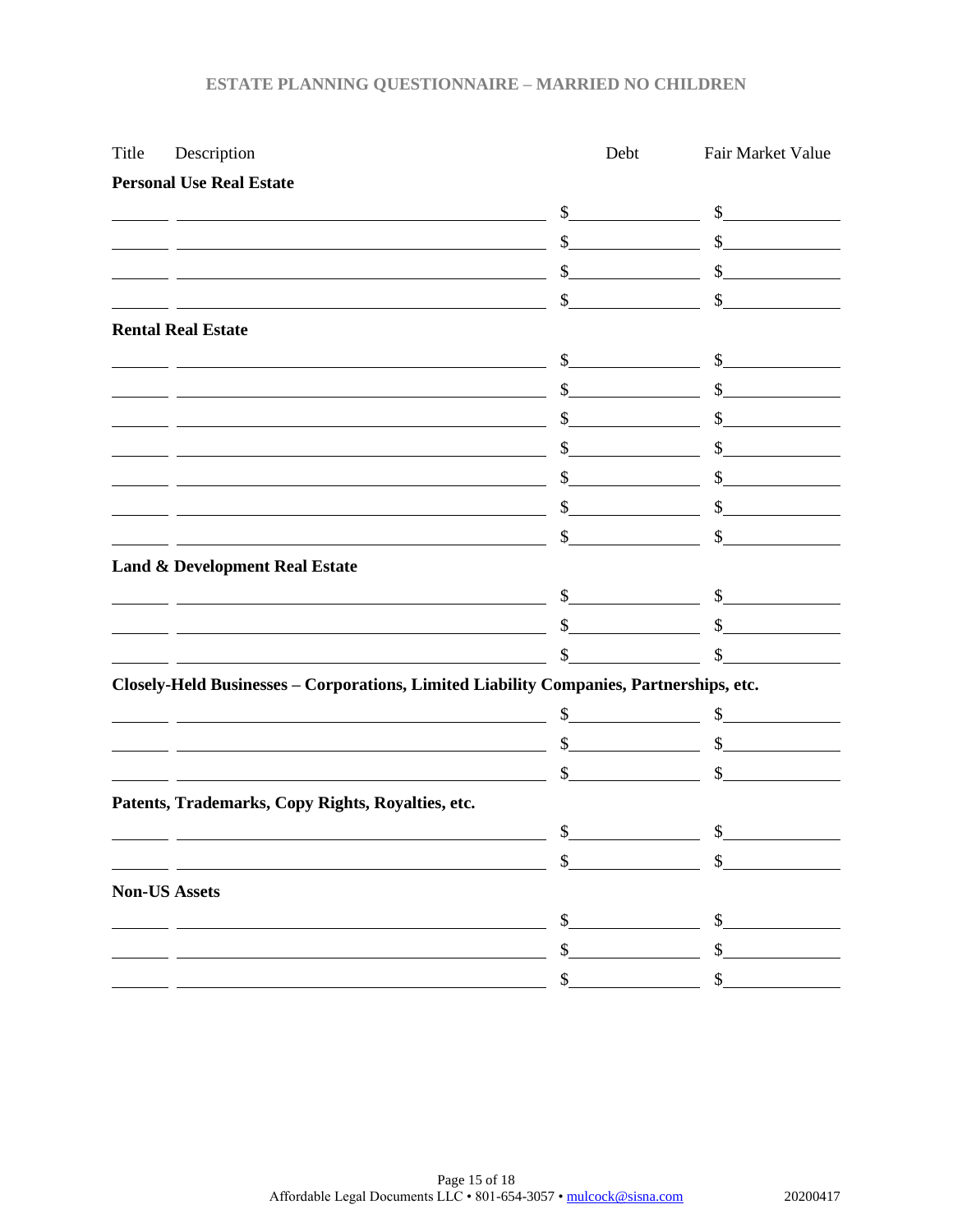| Title | Description                                                                                                                   | Debt                                                                                                                                                                                                                                                 | Fair Market Value           |
|-------|-------------------------------------------------------------------------------------------------------------------------------|------------------------------------------------------------------------------------------------------------------------------------------------------------------------------------------------------------------------------------------------------|-----------------------------|
|       | <b>Personal Use Real Estate</b>                                                                                               |                                                                                                                                                                                                                                                      |                             |
|       | <u> 1989 - Johann Barn, mars eta bat erroman erroman erroman erroman erroman erroman erroman erroman erroman err</u>          | $\frac{1}{2}$                                                                                                                                                                                                                                        | $\frac{1}{2}$               |
|       |                                                                                                                               | $\mathbb{S}$                                                                                                                                                                                                                                         | $\frac{\text{S}}{\text{S}}$ |
|       |                                                                                                                               | $\mathbb{S}^-$                                                                                                                                                                                                                                       | $\sim$ $\sim$               |
|       | <u> 1980 - Johann Barn, fransk politik fotograf (d. 1980)</u>                                                                 | $\mathcal{S}$                                                                                                                                                                                                                                        | $\int$                      |
|       | <b>Rental Real Estate</b>                                                                                                     |                                                                                                                                                                                                                                                      |                             |
|       | <u> 1989 - Johann Stoff, deutscher Stoffen und der Stoffen und der Stoffen und der Stoffen und der Stoffen und der</u><br>- - | $\frac{1}{2}$                                                                                                                                                                                                                                        | $\frac{1}{2}$               |
|       |                                                                                                                               | $\frac{1}{2}$                                                                                                                                                                                                                                        | $\sim$                      |
|       |                                                                                                                               | $\mathbb{S}^-$                                                                                                                                                                                                                                       | $\sim$                      |
|       | <u> 1989 - Johann Stoff, deutscher Stoff, der Stoff, der Stoff, der Stoff, der Stoff, der Stoff, der Stoff, der S</u>         | $\mathbb{S}$<br><u>and the community of the community of the community of the community of the community of the community of the community of the community of the community of the community of the community of the community of the community</u> | $\frac{1}{\sqrt{2}}$        |
|       | <u> 1989 - Johann Barbara, martin amerikan basar dan basa dan basa dan basa dan basa dan basa dan basa dan basa</u>           | $\mathbb{S}$                                                                                                                                                                                                                                         | $\sim$ $\sim$               |
|       | <u> 2008 - Andrea Britain, amerikan personal (h. 1878).</u>                                                                   | $\sim$                                                                                                                                                                                                                                               | $\sim$                      |
|       | <u> 1989 - Johann Stoff, deutscher Stoffen und der Stoffen und der Stoffen und der Stoffen und der Stoffen und d</u>          | $\sim$                                                                                                                                                                                                                                               | $\sim$                      |
|       | <b>Land &amp; Development Real Estate</b>                                                                                     |                                                                                                                                                                                                                                                      |                             |
|       |                                                                                                                               | $\frac{1}{2}$                                                                                                                                                                                                                                        | $\frac{1}{2}$               |
|       |                                                                                                                               | $\mathbb{S}$                                                                                                                                                                                                                                         | $\mathbb S$                 |
|       |                                                                                                                               | \$                                                                                                                                                                                                                                                   | $\mathbb{S}$                |
|       | Closely-Held Businesses - Corporations, Limited Liability Companies, Partnerships, etc.                                       |                                                                                                                                                                                                                                                      |                             |
|       |                                                                                                                               | $\sim$                                                                                                                                                                                                                                               | $\frac{1}{2}$               |
|       |                                                                                                                               | $\frac{1}{2}$                                                                                                                                                                                                                                        | $\frac{1}{2}$               |
|       | <u> 1989 - Johann Stoff, deutscher Stoff, der Stoff, der Stoff, der Stoff, der Stoff, der Stoff, der Stoff, der S</u>         | $\sim$                                                                                                                                                                                                                                               | $\mathbb{S}$                |
|       | Patents, Trademarks, Copy Rights, Royalties, etc.                                                                             |                                                                                                                                                                                                                                                      |                             |
|       |                                                                                                                               | \$                                                                                                                                                                                                                                                   | \$                          |
|       |                                                                                                                               | \$                                                                                                                                                                                                                                                   | \$                          |
|       | <b>Non-US Assets</b>                                                                                                          |                                                                                                                                                                                                                                                      |                             |
|       |                                                                                                                               | \$                                                                                                                                                                                                                                                   | \$                          |
|       |                                                                                                                               | \$                                                                                                                                                                                                                                                   | \$                          |
|       |                                                                                                                               | \$                                                                                                                                                                                                                                                   | \$                          |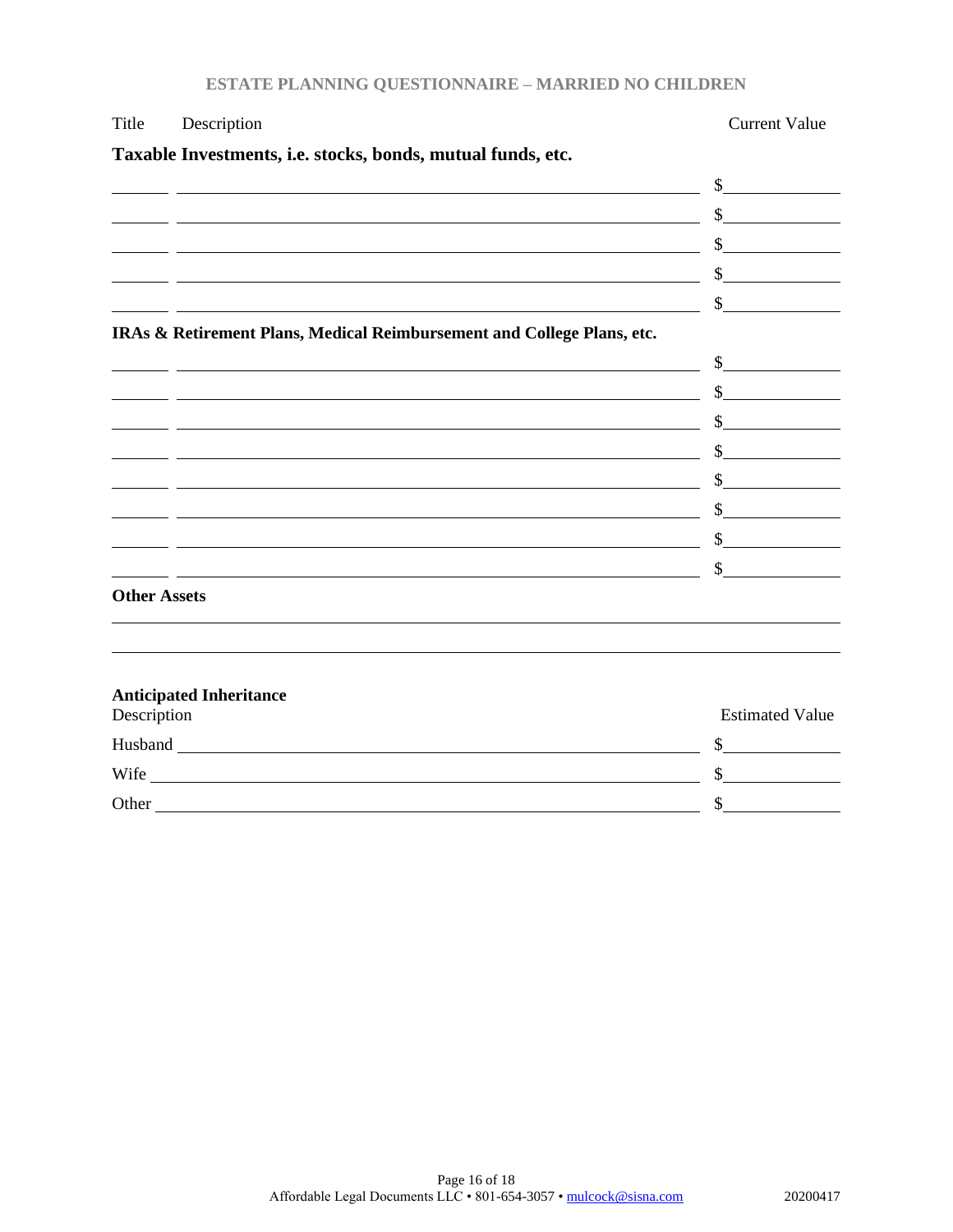| <b>ESTATE PLANNING QUESTIONNAIRE - MARRIED NO CHILDREN</b> |  |  |  |
|------------------------------------------------------------|--|--|--|
|------------------------------------------------------------|--|--|--|

| Title               | Description                                                                                                                                                                                                                          | <b>Current Value</b>        |
|---------------------|--------------------------------------------------------------------------------------------------------------------------------------------------------------------------------------------------------------------------------------|-----------------------------|
|                     | Taxable Investments, i.e. stocks, bonds, mutual funds, etc.                                                                                                                                                                          |                             |
|                     |                                                                                                                                                                                                                                      | $\frac{1}{2}$               |
|                     | <u> 1989 - Jan Salaman Salaman (j. 1989)</u>                                                                                                                                                                                         | s                           |
|                     | and the control of the control of the control of the control of the control of the control of the control of the                                                                                                                     | $\frac{\text{S}}{\text{S}}$ |
|                     | <u> 1989 - Johann Stein, fransk politik (f. 1989)</u>                                                                                                                                                                                | $\sim$                      |
|                     | the contract of the contract of the contract of the contract of the contract of the contract of the contract of                                                                                                                      | $\frac{\text{S}}{\text{S}}$ |
|                     | IRAs & Retirement Plans, Medical Reimbursement and College Plans, etc.                                                                                                                                                               |                             |
|                     |                                                                                                                                                                                                                                      | $\frac{1}{2}$               |
|                     | <u> 1989 - Johann Stoff, die besteht aus der Stoffen und der Stoffen und der Stoffen und der Stoffen und der Stoffen und der Stoffen und der Stoffen und der Stoffen und der Stoffen und der Stoffen und der Stoffen und der Sto</u> | $\frac{1}{2}$               |
|                     | <u> 1989 - Johann Stoff, deutscher Stoffen und der Stoffen und der Stoffen und der Stoffen und der Stoffen und der</u>                                                                                                               | $\frac{\text{S}}{\text{S}}$ |
|                     |                                                                                                                                                                                                                                      | $\sim$                      |
|                     | <u> 1989 - Johann Barbara, marka a shekara ta 1989 - An tsara tsa a shekara tsa 1989 - An tsara tsa a shekara tsa</u>                                                                                                                | $\sim$                      |
|                     | <u> 1989 - Johann Stein, marwolaethau a bhann an t-Amhain ann an t-Amhain an t-Amhain an t-Amhain an t-Amhain an </u>                                                                                                                | $\frac{1}{2}$               |
|                     | <u> 1989 - Johann Stoff, Amerikaansk politiker († 1908)</u>                                                                                                                                                                          | $\frac{1}{2}$               |
|                     |                                                                                                                                                                                                                                      | $\mathbb{S}$                |
| <b>Other Assets</b> |                                                                                                                                                                                                                                      |                             |
|                     |                                                                                                                                                                                                                                      |                             |
|                     | <b>Anticipated Inheritance</b>                                                                                                                                                                                                       |                             |
| Description         |                                                                                                                                                                                                                                      | <b>Estimated Value</b>      |
|                     |                                                                                                                                                                                                                                      | $\frac{1}{2}$               |
|                     |                                                                                                                                                                                                                                      | $\mathbb{S}$                |
| Other               |                                                                                                                                                                                                                                      | \$                          |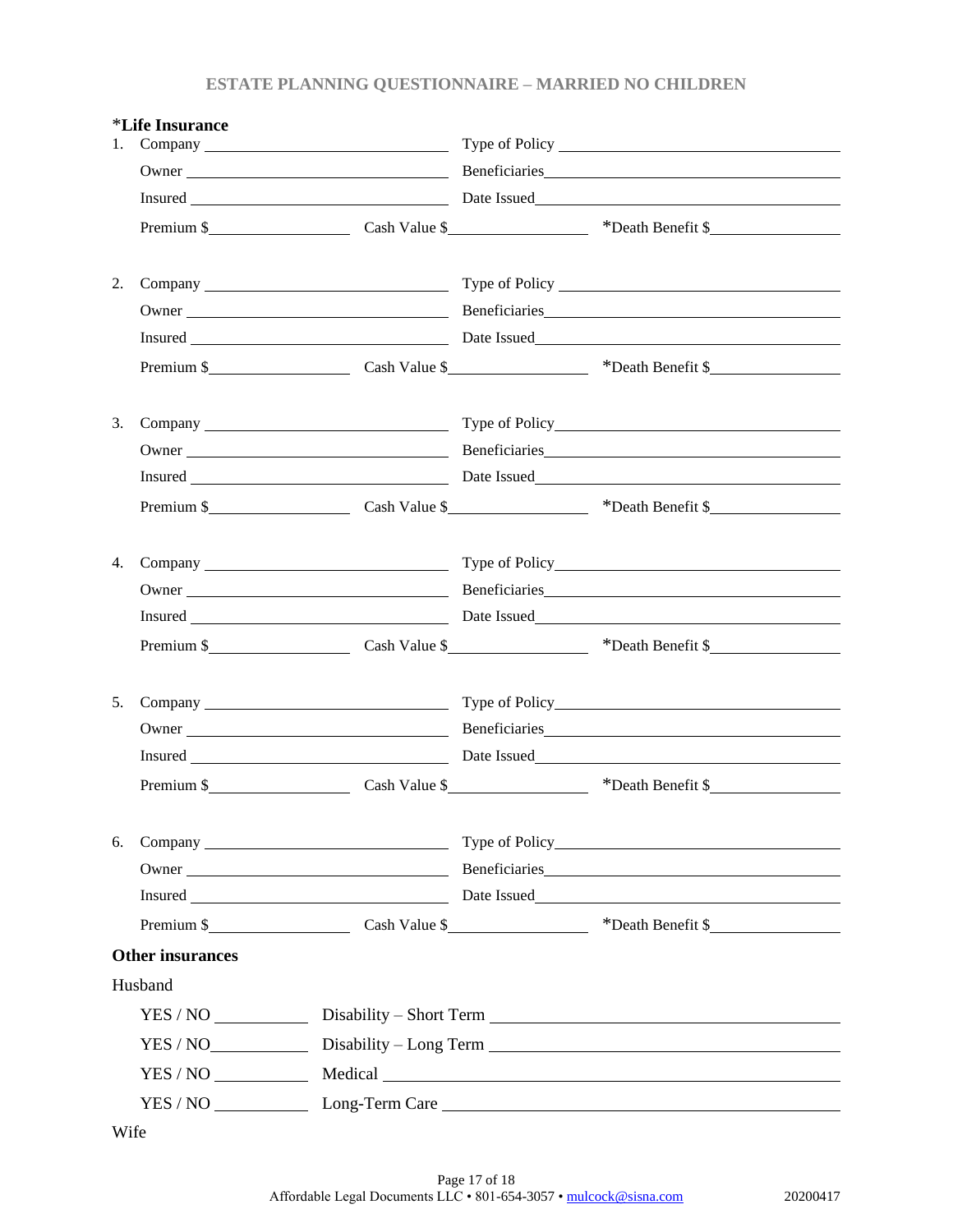|    | <i>*Life Insurance</i>  |  |                                                                                                                                                                                                                                |
|----|-------------------------|--|--------------------------------------------------------------------------------------------------------------------------------------------------------------------------------------------------------------------------------|
| 1. |                         |  |                                                                                                                                                                                                                                |
|    | Owner Beneficiaries     |  |                                                                                                                                                                                                                                |
|    |                         |  |                                                                                                                                                                                                                                |
|    |                         |  | Premium \$                                                                                                                                                                                                                     |
|    |                         |  |                                                                                                                                                                                                                                |
| 2. |                         |  |                                                                                                                                                                                                                                |
|    |                         |  | Owner Neuerannian Beneficiaries Neuerannian Beneficiaries Neuerannian Communication and Dental Communication of the Dental Communication of the United States of the United States of the United States of the United States o |
|    |                         |  |                                                                                                                                                                                                                                |
|    |                         |  | Premium \$                                                                                                                                                                                                                     |
|    |                         |  |                                                                                                                                                                                                                                |
| 3. |                         |  |                                                                                                                                                                                                                                |
|    |                         |  |                                                                                                                                                                                                                                |
|    |                         |  |                                                                                                                                                                                                                                |
|    |                         |  | Premium \$                                                                                                                                                                                                                     |
|    |                         |  |                                                                                                                                                                                                                                |
| 4. |                         |  |                                                                                                                                                                                                                                |
|    |                         |  |                                                                                                                                                                                                                                |
|    |                         |  |                                                                                                                                                                                                                                |
|    |                         |  | Premium \$                                                                                                                                                                                                                     |
|    |                         |  |                                                                                                                                                                                                                                |
| 5. |                         |  |                                                                                                                                                                                                                                |
|    |                         |  |                                                                                                                                                                                                                                |
|    |                         |  |                                                                                                                                                                                                                                |
|    |                         |  | Premium \$                                                                                                                                                                                                                     |
| 6. |                         |  |                                                                                                                                                                                                                                |
|    |                         |  |                                                                                                                                                                                                                                |
|    |                         |  |                                                                                                                                                                                                                                |
|    |                         |  |                                                                                                                                                                                                                                |
|    | <b>Other insurances</b> |  |                                                                                                                                                                                                                                |
|    |                         |  |                                                                                                                                                                                                                                |
|    | Husband                 |  |                                                                                                                                                                                                                                |
|    |                         |  |                                                                                                                                                                                                                                |
|    |                         |  |                                                                                                                                                                                                                                |
|    |                         |  |                                                                                                                                                                                                                                |
|    |                         |  |                                                                                                                                                                                                                                |

Wife